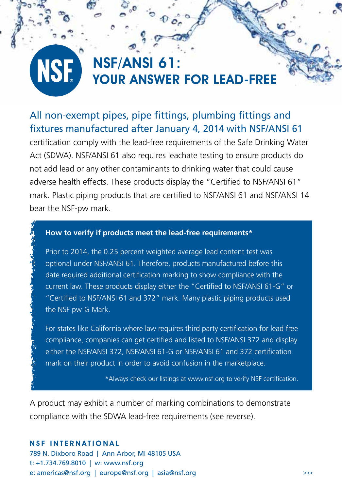### NSF/ANSI 61: **NSE** YOUR ANSWER FOR LEAD-FREE

## All non-exempt pipes, pipe fittings, plumbing fittings and fixtures manufactured after January 4, 2014 with NSF/ANSI 61

certification comply with the lead-free requirements of the Safe Drinking Water Act (SDWA). NSF/ANSI 61 also requires leachate testing to ensure products do not add lead or any other contaminants to drinking water that could cause adverse health effects. These products display the "Certified to NSF/ANSI 61" mark. Plastic piping products that are certified to NSF/ANSI 61 and NSF/ANSI 14 bear the NSF-pw mark.

#### **How to verify if products meet the lead-free requirements\***

Prior to 2014, the 0.25 percent weighted average lead content test was optional under NSF/ANSI 61. Therefore, products manufactured before this date required additional certification marking to show compliance with the current law. These products display either the "Certified to NSF/ANSI 61-G" or "Certified to NSF/ANSI 61 and 372" mark. Many plastic piping products used the NSF pw-G Mark.

For states like California where law requires third party certification for lead free compliance, companies can get certified and listed to NSF/ANSI 372 and display either the NSF/ANSI 372, NSF/ANSI 61-G or NSF/ANSI 61 and 372 certification mark on their product in order to avoid confusion in the marketplace.

\*Always check our listings at www.nsf.org to verify NSF certification.

A product may exhibit a number of marking combinations to demonstrate compliance with the SDWA lead-free requirements (see reverse).

#### **NSF INTERNATIONAL**

789 N. Dixboro Road | Ann Arbor, MI 48105 USA t: +1.734.769.8010 | w: www.nsf.org e: americas@nsf.org | europe@nsf.org | asia@nsf.org